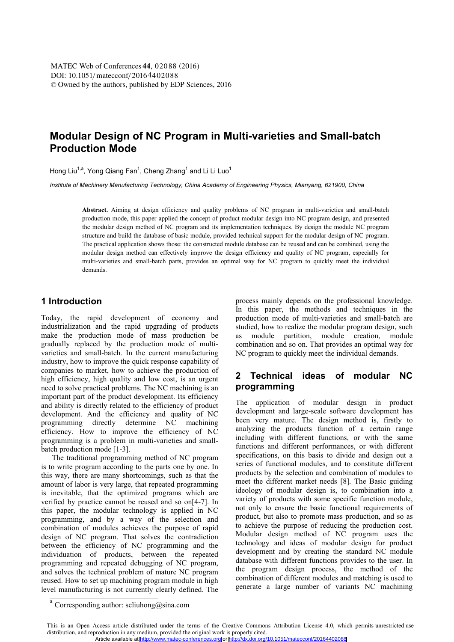# **Modular Design of NC Program in Multi-varieties and Small-batch Production Mode**

Hong Liu<sup>1,a</sup>, Yong Qiang Fan<sup>1</sup>, Cheng Zhang<sup>1</sup> and Li Li Luo<sup>1</sup>

*Institute of Machinery Manufacturing Technology, China Academy of Engineering Physics, Mianyang, 621900, China* 

**Abstract.** Aiming at design efficiency and quality problems of NC program in multi-varieties and small-batch production mode, this paper applied the concept of product modular design into NC program design, and presented the modular design method of NC program and its implementation techniques. By design the module NC program structure and build the database of basic module, provided technical support for the modular design of NC program. The practical application shows those: the constructed module database can be reused and can be combined, using the modular design method can effectively improve the design efficiency and quality of NC program, especially for multi-varieties and small-batch parts, provides an optimal way for NC program to quickly meet the individual demands.

### **1 Introduction**

Today, the rapid development of economy and industrialization and the rapid upgrading of products make the production mode of mass production be gradually replaced by the production mode of multivarieties and small-batch. In the current manufacturing industry, how to improve the quick response capability of companies to market, how to achieve the production of high efficiency, high quality and low cost, is an urgent need to solve practical problems. The NC machining is an important part of the product development. Its efficiency and ability is directly related to the efficiency of product development. And the efficiency and quality of NC programming directly determine NC machining efficiency. How to improve the efficiency of NC programming is a problem in multi-varieties and smallbatch production mode [1-3].

The traditional programming method of NC program is to write program according to the parts one by one. In this way, there are many shortcomings, such as that the amount of labor is very large, that repeated programming is inevitable, that the optimized programs which are verified by practice cannot be reused and so on[4-7]. In this paper, the modular technology is applied in NC programming, and by a way of the selection and combination of modules achieves the purpose of rapid design of NC program. That solves the contradiction between the efficiency of NC programming and the individuation of products, between the repeated programming and repeated debugging of NC program, and solves the technical problem of mature NC program reused. How to set up machining program module in high level manufacturing is not currently clearly defined. The process mainly depends on the professional knowledge. In this paper, the methods and techniques in the production mode of multi-varieties and small-batch are studied, how to realize the modular program design, such as module partition, module creation, module combination and so on. That provides an optimal way for NC program to quickly meet the individual demands.

# **2 Technical ideas of modular NC programming**

The application of modular design in product development and large-scale software development has been very mature. The design method is, firstly to analyzing the products function of a certain range including with different functions, or with the same functions and different performances, or with different specifications, on this basis to divide and design out a series of functional modules, and to constitute different products by the selection and combination of modules to meet the different market needs [8]. The Basic guiding ideology of modular design is, to combination into a variety of products with some specific function module, not only to ensure the basic functional requirements of product, but also to promote mass production, and so as to achieve the purpose of reducing the production cost. Modular design method of NC program uses the technology and ideas of modular design for product development and by creating the standard NC module database with different functions provides to the user. In the program design process, the method of the combination of different modules and matching is used to generate a large number of variants NC machining

 $a$  Corresponding author: scliuhong@sina.com

This is an Open Access article distributed under the terms of the Creative Commons Attribution License 4.0, which permits unrestricted use distribution, and reproduction in any medium, provided the original work is properly cited. Article available at <http://www.matec-conferences.org> or <http://dx.doi.org/10.1051/matecconf/20164402088>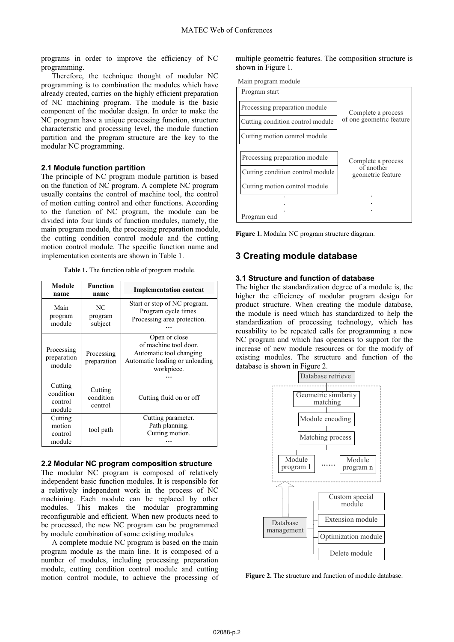programs in order to improve the efficiency of NC programming.

Therefore, the technique thought of modular NC programming is to combination the modules which have already created, carries on the highly efficient preparation of NC machining program. The module is the basic component of the modular design. In order to make the NC program have a unique processing function, structure characteristic and processing level, the module function partition and the program structure are the key to the modular NC programming.

### **2.1 Module function partition**

The principle of NC program module partition is based on the function of NC program. A complete NC program usually contains the control of machine tool, the control of motion cutting control and other functions. According to the function of NC program, the module can be divided into four kinds of function modules, namely, the main program module, the processing preparation module, the cutting condition control module and the cutting motion control module. The specific function name and implementation contents are shown in Table 1.

**Table 1.** The function table of program module.

| Module<br>name                            | <b>Function</b><br>name         | <b>Implementation content</b>                                                                                      |  |
|-------------------------------------------|---------------------------------|--------------------------------------------------------------------------------------------------------------------|--|
| Main<br>program<br>module                 | NC<br>program<br>subject        | Start or stop of NC program.<br>Program cycle times.<br>Processing area protection.                                |  |
| Processing<br>preparation<br>module       | Processing<br>preparation       | Open or close<br>of machine tool door.<br>Automatic tool changing.<br>Automatic loading or unloading<br>workpiece. |  |
| Cutting<br>condition<br>control<br>module | Cutting<br>condition<br>control | Cutting fluid on or off                                                                                            |  |
| Cutting<br>motion<br>control<br>module    | tool path                       | Cutting parameter.<br>Path planning.<br>Cutting motion.                                                            |  |

#### **2.2 Modular NC program composition structure**

The modular NC program is composed of relatively independent basic function modules. It is responsible for a relatively independent work in the process of NC machining. Each module can be replaced by other modules. This makes the modular programming reconfigurable and efficient. When new products need to be processed, the new NC program can be programmed by module combination of some existing modules

A complete module NC program is based on the main program module as the main line. It is composed of a number of modules, including processing preparation module, cutting condition control module and cutting motion control module, to achieve the processing of multiple geometric features. The composition structure is shown in Figure 1.





**Figure 1.** Modular NC program structure diagram.

### **3 Creating module database**

#### **3.1 Structure and function of database**

The higher the standardization degree of a module is, the higher the efficiency of modular program design for product structure. When creating the module database, the module is need which has standardized to help the standardization of processing technology, which has reusability to be repeated calls for programming a new NC program and which has openness to support for the increase of new module resources or for the modify of existing modules. The structure and function of the database is shown in Figure 2.



Figure 2. The structure and function of module database.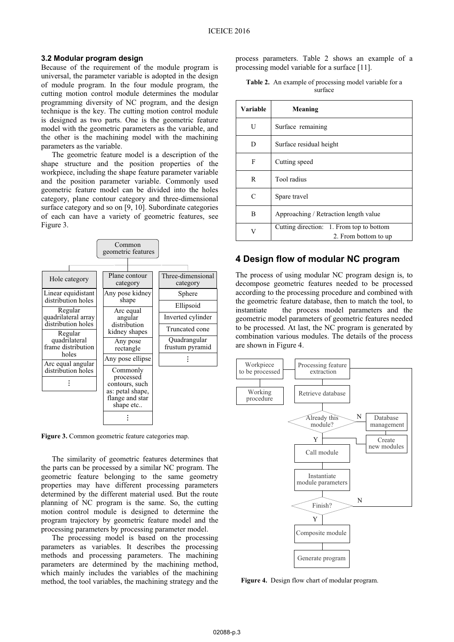### **3.2 Modular program design**

Because of the requirement of the module program is universal, the parameter variable is adopted in the design of module program. In the four module program, the cutting motion control module determines the modular programming diversity of NC program, and the design technique is the key. The cutting motion control module is designed as two parts. One is the geometric feature model with the geometric parameters as the variable, and the other is the machining model with the machining parameters as the variable.

The geometric feature model is a description of the shape structure and the position properties of the workpiece, including the shape feature parameter variable and the position parameter variable. Commonly used geometric feature model can be divided into the holes category, plane contour category and three-dimensional surface category and so on [9, 10]. Subordinate categories of each can have a variety of geometric features, see Figure 3.



**Figure 3.** Common geometric feature categories map.

The similarity of geometric features determines that the parts can be processed by a similar NC program. The geometric feature belonging to the same geometry properties may have different processing parameters determined by the different material used. But the route planning of NC program is the same. So, the cutting motion control module is designed to determine the program trajectory by geometric feature model and the processing parameters by processing parameter model.

The processing model is based on the processing parameters as variables. It describes the processing methods and processing parameters. The machining parameters are determined by the machining method, which mainly includes the variables of the machining method, the tool variables, the machining strategy and the process parameters. Table 2 shows an example of a processing model variable for a surface [11].

|  | <b>Table 2.</b> An example of processing model variable for a |  |  |
|--|---------------------------------------------------------------|--|--|
|  | surface                                                       |  |  |

| Variable | Meaning                                                          |  |  |
|----------|------------------------------------------------------------------|--|--|
| U        | Surface remaining                                                |  |  |
| D        | Surface residual height                                          |  |  |
| F        | Cutting speed                                                    |  |  |
| R        | Tool radius                                                      |  |  |
| C        | Spare travel                                                     |  |  |
| B        | Approaching / Retraction length value                            |  |  |
| V        | Cutting direction: 1. From top to bottom<br>2. From bottom to up |  |  |

### **4 Design flow of modular NC program**

The process of using modular NC program design is, to decompose geometric features needed to be processed according to the processing procedure and combined with the geometric feature database, then to match the tool, to instantiate the process model parameters and the geometric model parameters of geometric features needed to be processed. At last, the NC program is generated by combination various modules. The details of the process are shown in Figure 4.



**Figure 4.** Design flow chart of modular program.